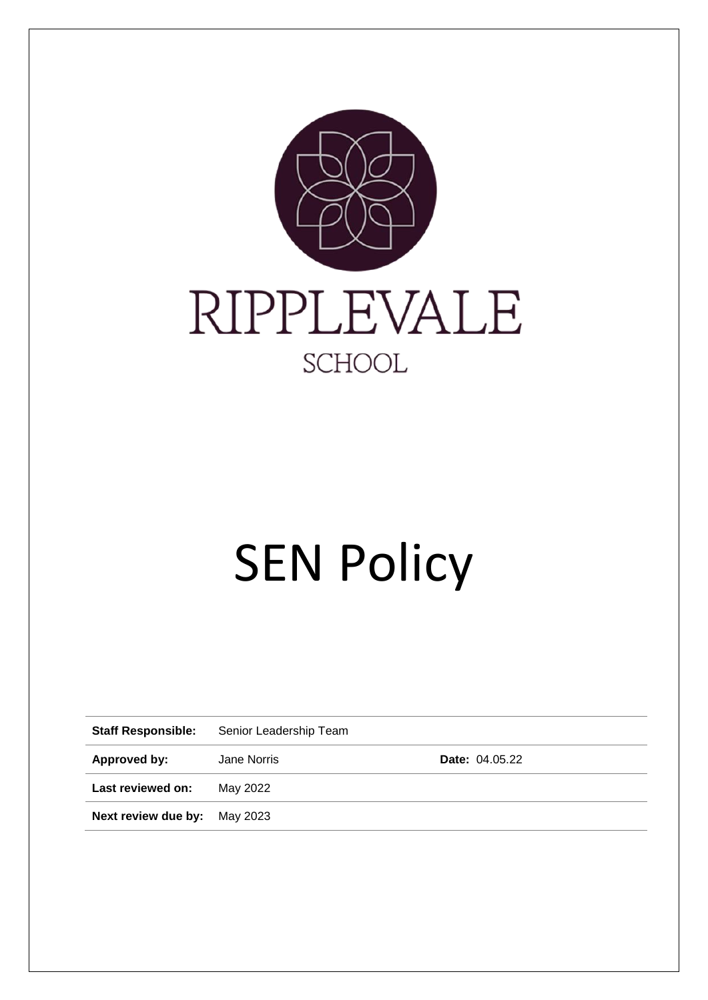

# **SEN Policy**

| <b>Staff Responsible:</b>    | Senior Leadership Team |                       |  |
|------------------------------|------------------------|-----------------------|--|
| Approved by:                 | Jane Norris            | <b>Date: 04.05.22</b> |  |
| Last reviewed on:            | May 2022               |                       |  |
| Next review due by: May 2023 |                        |                       |  |
|                              |                        |                       |  |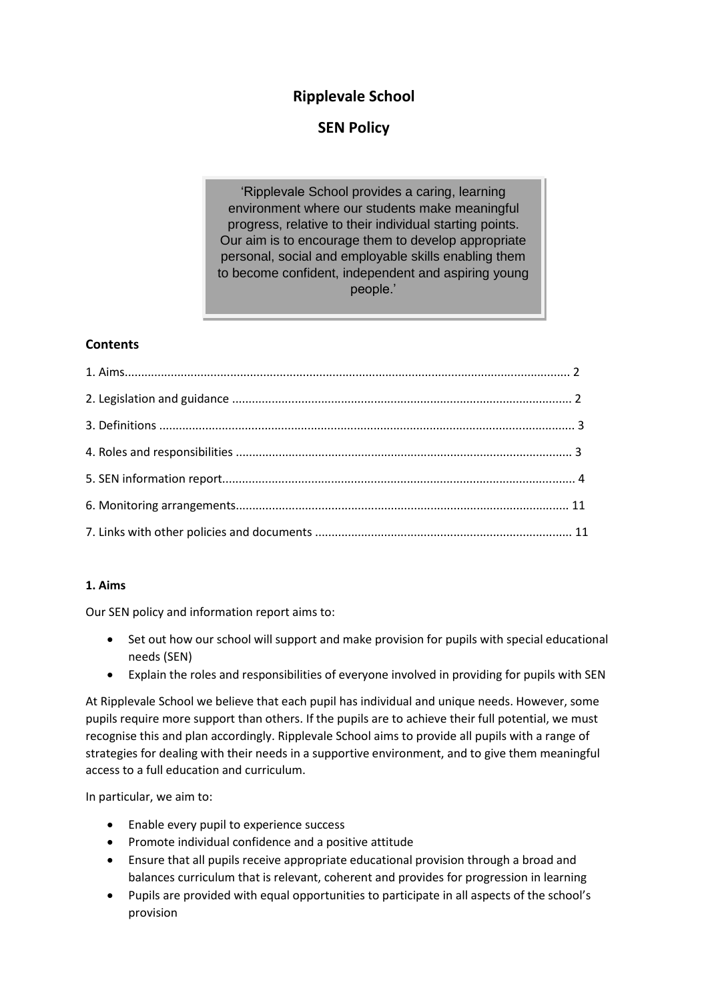# **Ripplevale School**

# **SEN Policy**

'Ripplevale School provides a caring, learning environment where our students make meaningful progress, relative to their individual starting points. Our aim is to encourage them to develop appropriate personal, social and employable skills enabling them to become confident, independent and aspiring young people.'

# **Contents**

# **1. Aims**

Our SEN policy and information report aims to:

- Set out how our school will support and make provision for pupils with special educational needs (SEN)
- Explain the roles and responsibilities of everyone involved in providing for pupils with SEN

At Ripplevale School we believe that each pupil has individual and unique needs. However, some pupils require more support than others. If the pupils are to achieve their full potential, we must recognise this and plan accordingly. Ripplevale School aims to provide all pupils with a range of strategies for dealing with their needs in a supportive environment, and to give them meaningful access to a full education and curriculum.

In particular, we aim to:

- Enable every pupil to experience success
- Promote individual confidence and a positive attitude
- Ensure that all pupils receive appropriate educational provision through a broad and balances curriculum that is relevant, coherent and provides for progression in learning
- Pupils are provided with equal opportunities to participate in all aspects of the school's provision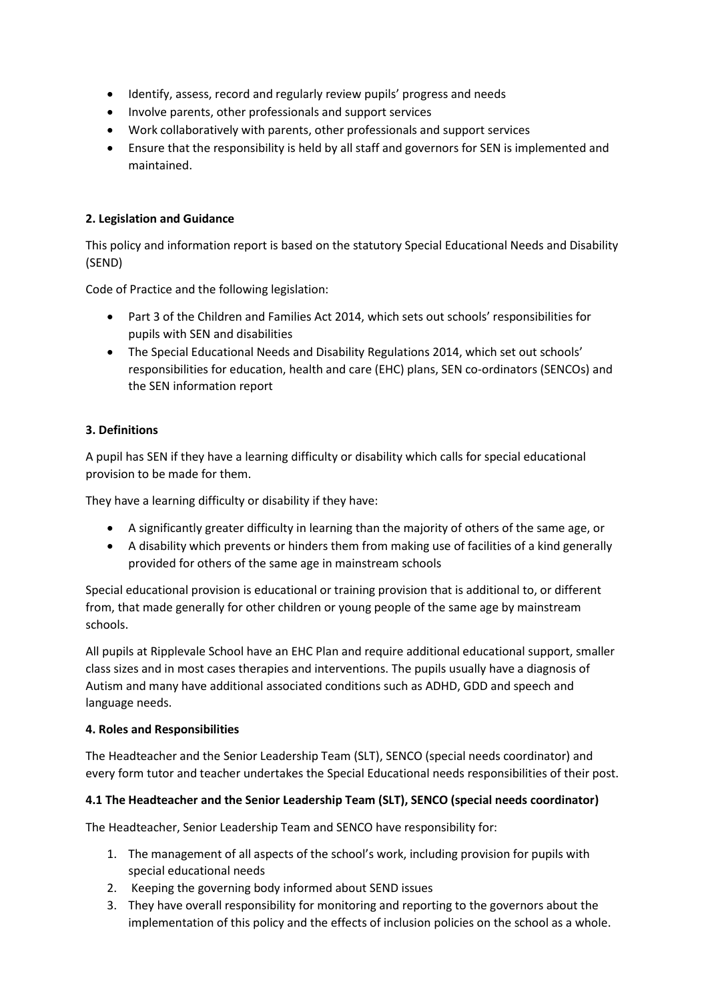- Identify, assess, record and regularly review pupils' progress and needs
- Involve parents, other professionals and support services
- Work collaboratively with parents, other professionals and support services
- Ensure that the responsibility is held by all staff and governors for SEN is implemented and maintained.

# **2. Legislation and Guidance**

This policy and information report is based on the statutory Special Educational Needs and Disability (SEND)

Code of Practice and the following legislation:

- Part 3 of the Children and Families Act 2014, which sets out schools' responsibilities for pupils with SEN and disabilities
- The Special Educational Needs and Disability Regulations 2014, which set out schools' responsibilities for education, health and care (EHC) plans, SEN co-ordinators (SENCOs) and the SEN information report

# **3. Definitions**

A pupil has SEN if they have a learning difficulty or disability which calls for special educational provision to be made for them.

They have a learning difficulty or disability if they have:

- A significantly greater difficulty in learning than the majority of others of the same age, or
- A disability which prevents or hinders them from making use of facilities of a kind generally provided for others of the same age in mainstream schools

Special educational provision is educational or training provision that is additional to, or different from, that made generally for other children or young people of the same age by mainstream schools.

All pupils at Ripplevale School have an EHC Plan and require additional educational support, smaller class sizes and in most cases therapies and interventions. The pupils usually have a diagnosis of Autism and many have additional associated conditions such as ADHD, GDD and speech and language needs.

#### **4. Roles and Responsibilities**

The Headteacher and the Senior Leadership Team (SLT), SENCO (special needs coordinator) and every form tutor and teacher undertakes the Special Educational needs responsibilities of their post.

#### **4.1 The Headteacher and the Senior Leadership Team (SLT), SENCO (special needs coordinator)**

The Headteacher, Senior Leadership Team and SENCO have responsibility for:

- 1. The management of all aspects of the school's work, including provision for pupils with special educational needs
- 2. Keeping the governing body informed about SEND issues
- 3. They have overall responsibility for monitoring and reporting to the governors about the implementation of this policy and the effects of inclusion policies on the school as a whole.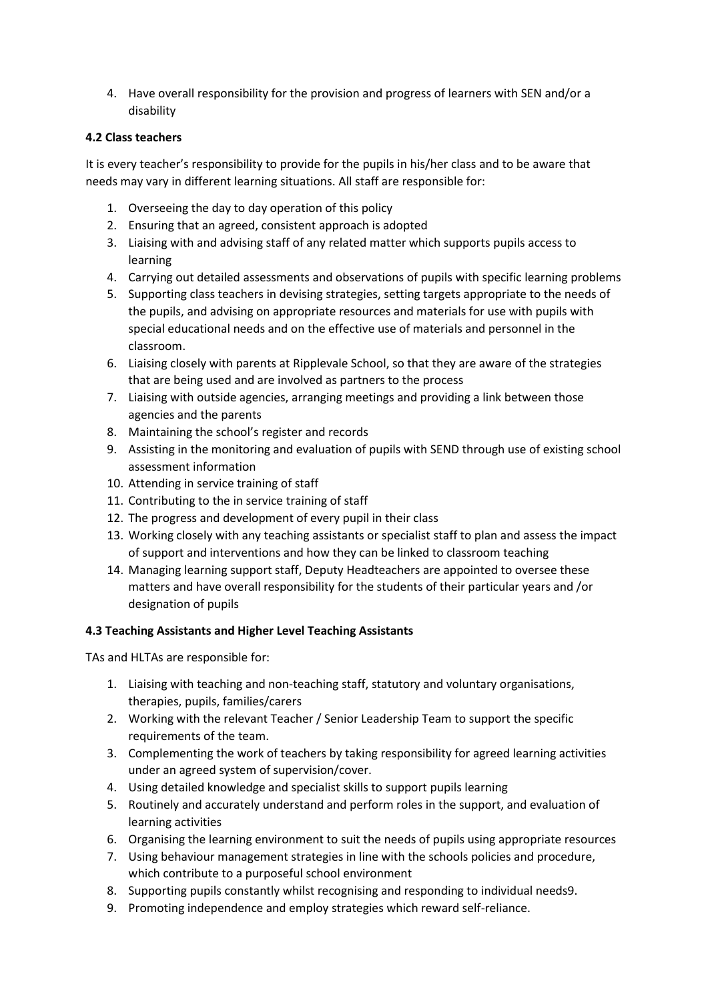4. Have overall responsibility for the provision and progress of learners with SEN and/or a disability

# **4.2 Class teachers**

It is every teacher's responsibility to provide for the pupils in his/her class and to be aware that needs may vary in different learning situations. All staff are responsible for:

- 1. Overseeing the day to day operation of this policy
- 2. Ensuring that an agreed, consistent approach is adopted
- 3. Liaising with and advising staff of any related matter which supports pupils access to learning
- 4. Carrying out detailed assessments and observations of pupils with specific learning problems
- 5. Supporting class teachers in devising strategies, setting targets appropriate to the needs of the pupils, and advising on appropriate resources and materials for use with pupils with special educational needs and on the effective use of materials and personnel in the classroom.
- 6. Liaising closely with parents at Ripplevale School, so that they are aware of the strategies that are being used and are involved as partners to the process
- 7. Liaising with outside agencies, arranging meetings and providing a link between those agencies and the parents
- 8. Maintaining the school's register and records
- 9. Assisting in the monitoring and evaluation of pupils with SEND through use of existing school assessment information
- 10. Attending in service training of staff
- 11. Contributing to the in service training of staff
- 12. The progress and development of every pupil in their class
- 13. Working closely with any teaching assistants or specialist staff to plan and assess the impact of support and interventions and how they can be linked to classroom teaching
- 14. Managing learning support staff, Deputy Headteachers are appointed to oversee these matters and have overall responsibility for the students of their particular years and /or designation of pupils

# **4.3 Teaching Assistants and Higher Level Teaching Assistants**

TAs and HLTAs are responsible for:

- 1. Liaising with teaching and non-teaching staff, statutory and voluntary organisations, therapies, pupils, families/carers
- 2. Working with the relevant Teacher / Senior Leadership Team to support the specific requirements of the team.
- 3. Complementing the work of teachers by taking responsibility for agreed learning activities under an agreed system of supervision/cover.
- 4. Using detailed knowledge and specialist skills to support pupils learning
- 5. Routinely and accurately understand and perform roles in the support, and evaluation of learning activities
- 6. Organising the learning environment to suit the needs of pupils using appropriate resources
- 7. Using behaviour management strategies in line with the schools policies and procedure, which contribute to a purposeful school environment
- 8. Supporting pupils constantly whilst recognising and responding to individual needs9.
- 9. Promoting independence and employ strategies which reward self-reliance.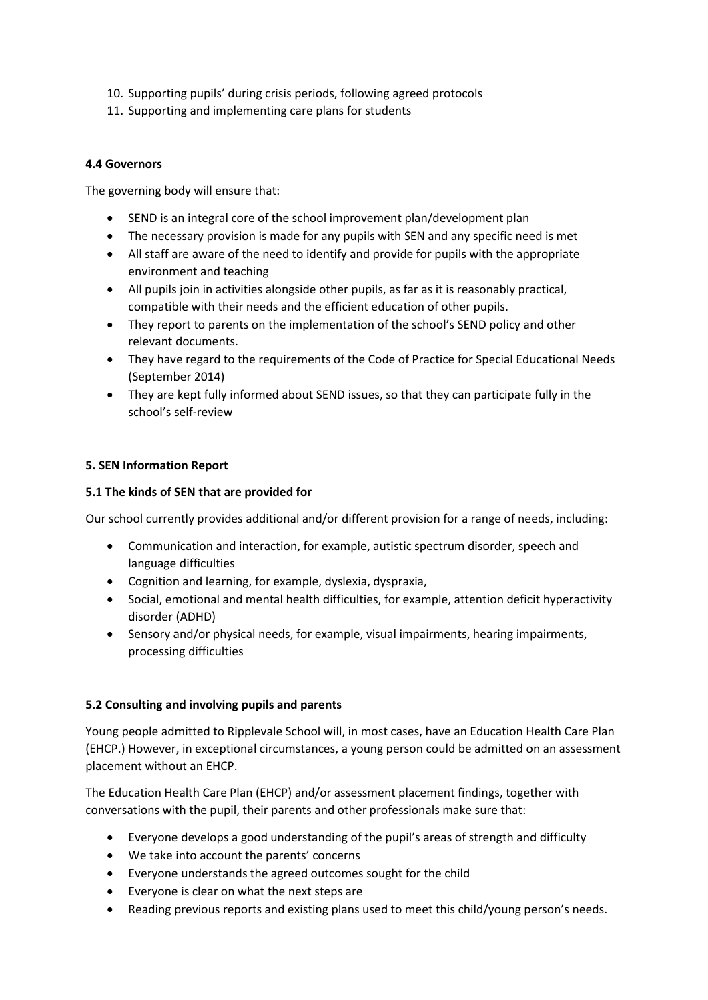- 10. Supporting pupils' during crisis periods, following agreed protocols
- 11. Supporting and implementing care plans for students

# **4.4 Governors**

The governing body will ensure that:

- SEND is an integral core of the school improvement plan/development plan
- The necessary provision is made for any pupils with SEN and any specific need is met
- All staff are aware of the need to identify and provide for pupils with the appropriate environment and teaching
- All pupils join in activities alongside other pupils, as far as it is reasonably practical, compatible with their needs and the efficient education of other pupils.
- They report to parents on the implementation of the school's SEND policy and other relevant documents.
- They have regard to the requirements of the Code of Practice for Special Educational Needs (September 2014)
- They are kept fully informed about SEND issues, so that they can participate fully in the school's self-review

# **5. SEN Information Report**

#### **5.1 The kinds of SEN that are provided for**

Our school currently provides additional and/or different provision for a range of needs, including:

- Communication and interaction, for example, autistic spectrum disorder, speech and language difficulties
- Cognition and learning, for example, dyslexia, dyspraxia,
- Social, emotional and mental health difficulties, for example, attention deficit hyperactivity disorder (ADHD)
- Sensory and/or physical needs, for example, visual impairments, hearing impairments, processing difficulties

# **5.2 Consulting and involving pupils and parents**

Young people admitted to Ripplevale School will, in most cases, have an Education Health Care Plan (EHCP.) However, in exceptional circumstances, a young person could be admitted on an assessment placement without an EHCP.

The Education Health Care Plan (EHCP) and/or assessment placement findings, together with conversations with the pupil, their parents and other professionals make sure that:

- Everyone develops a good understanding of the pupil's areas of strength and difficulty
- We take into account the parents' concerns
- Everyone understands the agreed outcomes sought for the child
- Everyone is clear on what the next steps are
- Reading previous reports and existing plans used to meet this child/young person's needs.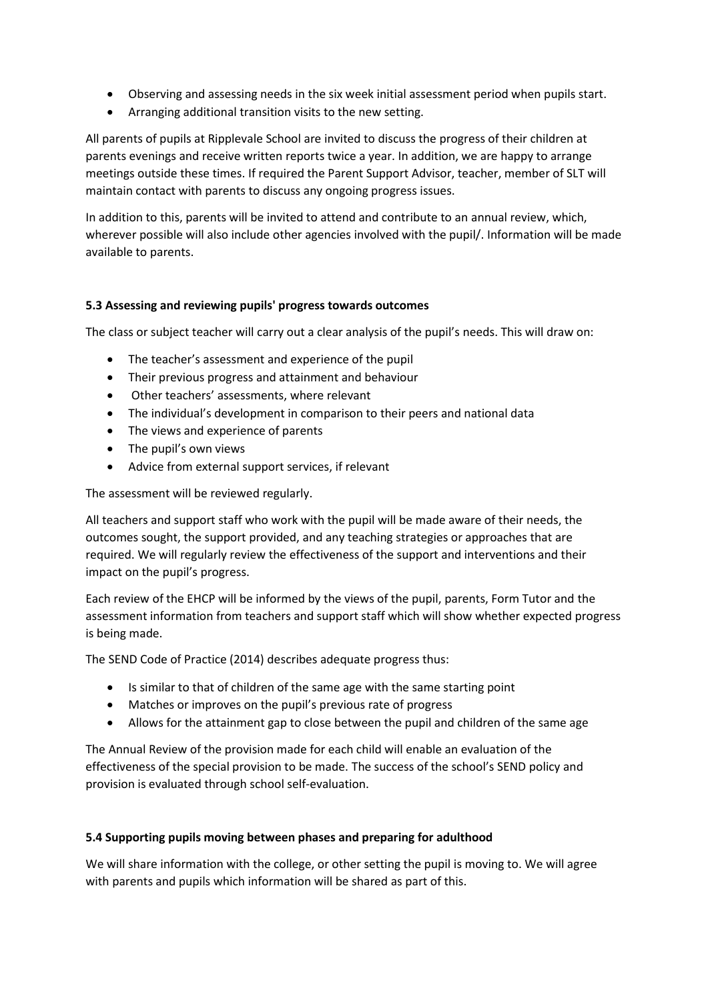- Observing and assessing needs in the six week initial assessment period when pupils start.
- Arranging additional transition visits to the new setting.

All parents of pupils at Ripplevale School are invited to discuss the progress of their children at parents evenings and receive written reports twice a year. In addition, we are happy to arrange meetings outside these times. If required the Parent Support Advisor, teacher, member of SLT will maintain contact with parents to discuss any ongoing progress issues.

In addition to this, parents will be invited to attend and contribute to an annual review, which, wherever possible will also include other agencies involved with the pupil/. Information will be made available to parents.

# **5.3 Assessing and reviewing pupils' progress towards outcomes**

The class or subject teacher will carry out a clear analysis of the pupil's needs. This will draw on:

- The teacher's assessment and experience of the pupil
- Their previous progress and attainment and behaviour
- Other teachers' assessments, where relevant
- The individual's development in comparison to their peers and national data
- The views and experience of parents
- The pupil's own views
- Advice from external support services, if relevant

The assessment will be reviewed regularly.

All teachers and support staff who work with the pupil will be made aware of their needs, the outcomes sought, the support provided, and any teaching strategies or approaches that are required. We will regularly review the effectiveness of the support and interventions and their impact on the pupil's progress.

Each review of the EHCP will be informed by the views of the pupil, parents, Form Tutor and the assessment information from teachers and support staff which will show whether expected progress is being made.

The SEND Code of Practice (2014) describes adequate progress thus:

- Is similar to that of children of the same age with the same starting point
- Matches or improves on the pupil's previous rate of progress
- Allows for the attainment gap to close between the pupil and children of the same age

The Annual Review of the provision made for each child will enable an evaluation of the effectiveness of the special provision to be made. The success of the school's SEND policy and provision is evaluated through school self-evaluation.

#### **5.4 Supporting pupils moving between phases and preparing for adulthood**

We will share information with the college, or other setting the pupil is moving to. We will agree with parents and pupils which information will be shared as part of this.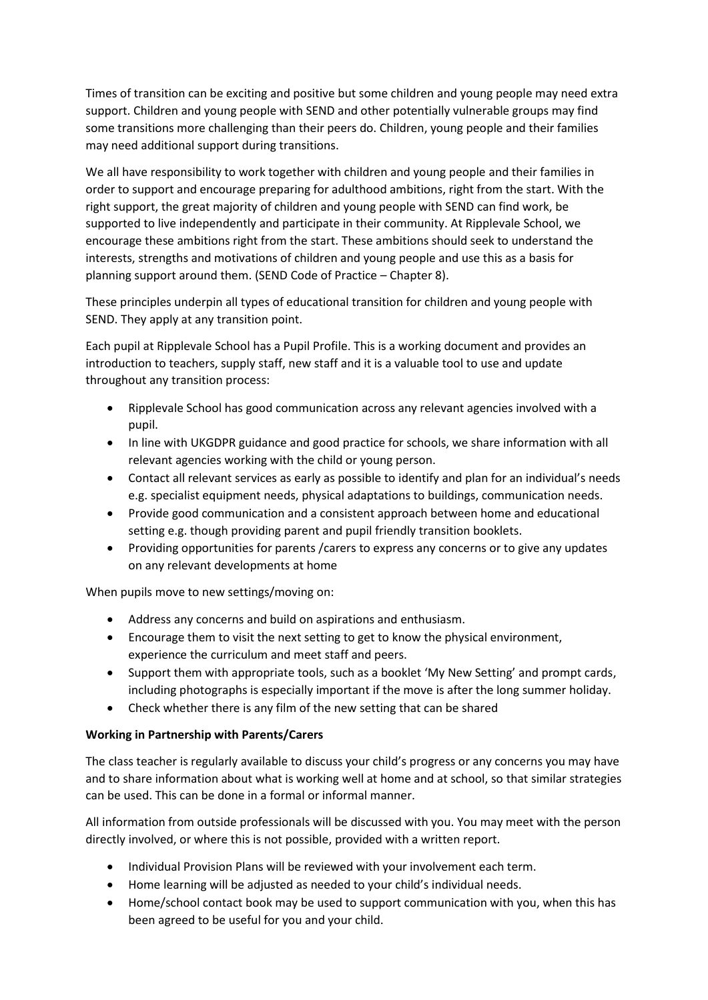Times of transition can be exciting and positive but some children and young people may need extra support. Children and young people with SEND and other potentially vulnerable groups may find some transitions more challenging than their peers do. Children, young people and their families may need additional support during transitions.

We all have responsibility to work together with children and young people and their families in order to support and encourage preparing for adulthood ambitions, right from the start. With the right support, the great majority of children and young people with SEND can find work, be supported to live independently and participate in their community. At Ripplevale School, we encourage these ambitions right from the start. These ambitions should seek to understand the interests, strengths and motivations of children and young people and use this as a basis for planning support around them. (SEND Code of Practice – Chapter 8).

These principles underpin all types of educational transition for children and young people with SEND. They apply at any transition point.

Each pupil at Ripplevale School has a Pupil Profile. This is a working document and provides an introduction to teachers, supply staff, new staff and it is a valuable tool to use and update throughout any transition process:

- Ripplevale School has good communication across any relevant agencies involved with a pupil.
- In line with UKGDPR guidance and good practice for schools, we share information with all relevant agencies working with the child or young person.
- Contact all relevant services as early as possible to identify and plan for an individual's needs e.g. specialist equipment needs, physical adaptations to buildings, communication needs.
- Provide good communication and a consistent approach between home and educational setting e.g. though providing parent and pupil friendly transition booklets.
- Providing opportunities for parents /carers to express any concerns or to give any updates on any relevant developments at home

When pupils move to new settings/moving on:

- Address any concerns and build on aspirations and enthusiasm.
- Encourage them to visit the next setting to get to know the physical environment, experience the curriculum and meet staff and peers.
- Support them with appropriate tools, such as a booklet 'My New Setting' and prompt cards, including photographs is especially important if the move is after the long summer holiday.
- Check whether there is any film of the new setting that can be shared

# **Working in Partnership with Parents/Carers**

The class teacher is regularly available to discuss your child's progress or any concerns you may have and to share information about what is working well at home and at school, so that similar strategies can be used. This can be done in a formal or informal manner.

All information from outside professionals will be discussed with you. You may meet with the person directly involved, or where this is not possible, provided with a written report.

- Individual Provision Plans will be reviewed with your involvement each term.
- Home learning will be adjusted as needed to your child's individual needs.
- Home/school contact book may be used to support communication with you, when this has been agreed to be useful for you and your child.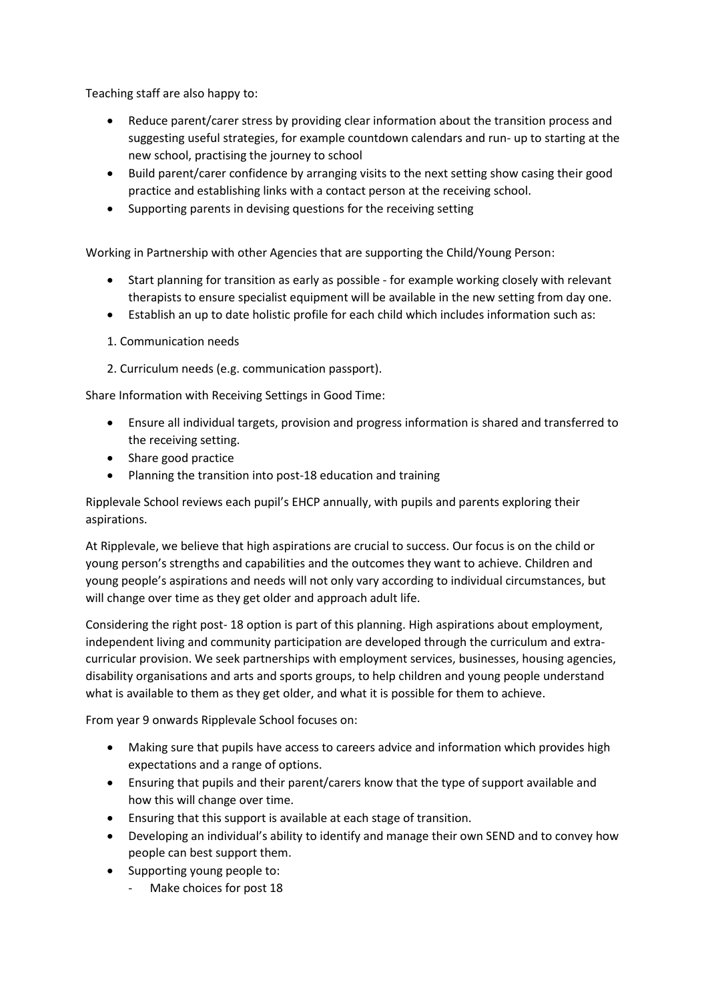Teaching staff are also happy to:

- Reduce parent/carer stress by providing clear information about the transition process and suggesting useful strategies, for example countdown calendars and run- up to starting at the new school, practising the journey to school
- Build parent/carer confidence by arranging visits to the next setting show casing their good practice and establishing links with a contact person at the receiving school.
- Supporting parents in devising questions for the receiving setting

Working in Partnership with other Agencies that are supporting the Child/Young Person:

- Start planning for transition as early as possible for example working closely with relevant therapists to ensure specialist equipment will be available in the new setting from day one.
- Establish an up to date holistic profile for each child which includes information such as:
- 1. Communication needs
- 2. Curriculum needs (e.g. communication passport).

Share Information with Receiving Settings in Good Time:

- Ensure all individual targets, provision and progress information is shared and transferred to the receiving setting.
- Share good practice
- Planning the transition into post-18 education and training

Ripplevale School reviews each pupil's EHCP annually, with pupils and parents exploring their aspirations.

At Ripplevale, we believe that high aspirations are crucial to success. Our focus is on the child or young person's strengths and capabilities and the outcomes they want to achieve. Children and young people's aspirations and needs will not only vary according to individual circumstances, but will change over time as they get older and approach adult life.

Considering the right post- 18 option is part of this planning. High aspirations about employment, independent living and community participation are developed through the curriculum and extracurricular provision. We seek partnerships with employment services, businesses, housing agencies, disability organisations and arts and sports groups, to help children and young people understand what is available to them as they get older, and what it is possible for them to achieve.

From year 9 onwards Ripplevale School focuses on:

- Making sure that pupils have access to careers advice and information which provides high expectations and a range of options.
- Ensuring that pupils and their parent/carers know that the type of support available and how this will change over time.
- Ensuring that this support is available at each stage of transition.
- Developing an individual's ability to identify and manage their own SEND and to convey how people can best support them.
- Supporting young people to:
	- Make choices for post 18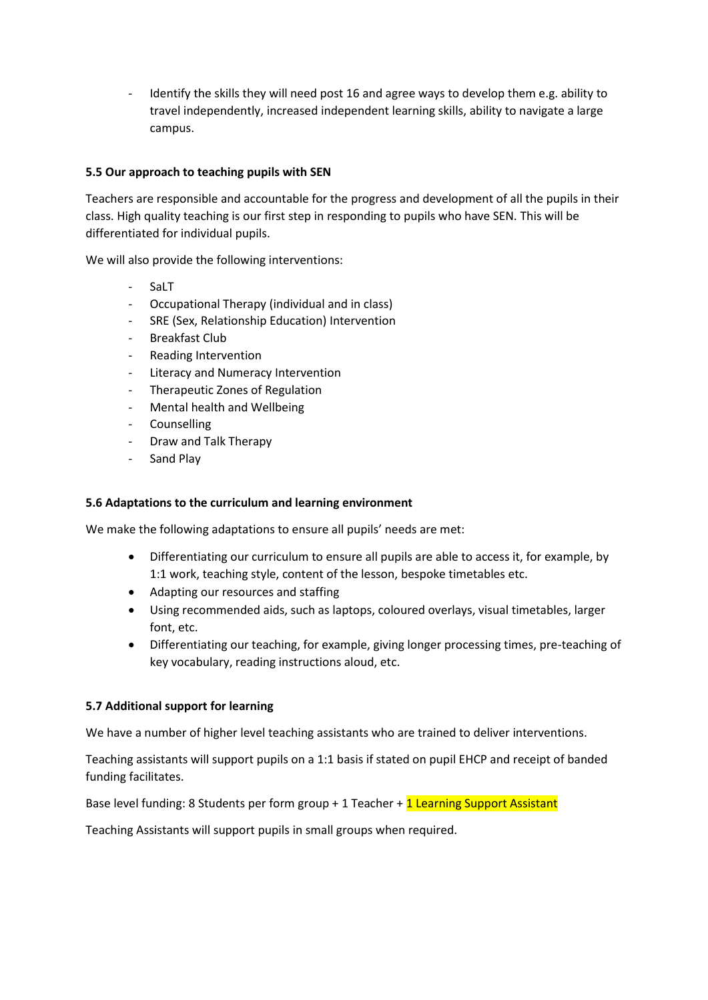- Identify the skills they will need post 16 and agree ways to develop them e.g. ability to travel independently, increased independent learning skills, ability to navigate a large campus.

# **5.5 Our approach to teaching pupils with SEN**

Teachers are responsible and accountable for the progress and development of all the pupils in their class. High quality teaching is our first step in responding to pupils who have SEN. This will be differentiated for individual pupils.

We will also provide the following interventions:

- SaLT
- Occupational Therapy (individual and in class)
- SRE (Sex, Relationship Education) Intervention
- Breakfast Club
- Reading Intervention
- Literacy and Numeracy Intervention
- Therapeutic Zones of Regulation
- Mental health and Wellbeing
- **Counselling**
- Draw and Talk Therapy
- Sand Play

#### **5.6 Adaptations to the curriculum and learning environment**

We make the following adaptations to ensure all pupils' needs are met:

- Differentiating our curriculum to ensure all pupils are able to access it, for example, by 1:1 work, teaching style, content of the lesson, bespoke timetables etc.
- Adapting our resources and staffing
- Using recommended aids, such as laptops, coloured overlays, visual timetables, larger font, etc.
- Differentiating our teaching, for example, giving longer processing times, pre-teaching of key vocabulary, reading instructions aloud, etc.

#### **5.7 Additional support for learning**

We have a number of higher level teaching assistants who are trained to deliver interventions.

Teaching assistants will support pupils on a 1:1 basis if stated on pupil EHCP and receipt of banded funding facilitates.

Base level funding: 8 Students per form group + 1 Teacher + 1 Learning Support Assistant

Teaching Assistants will support pupils in small groups when required.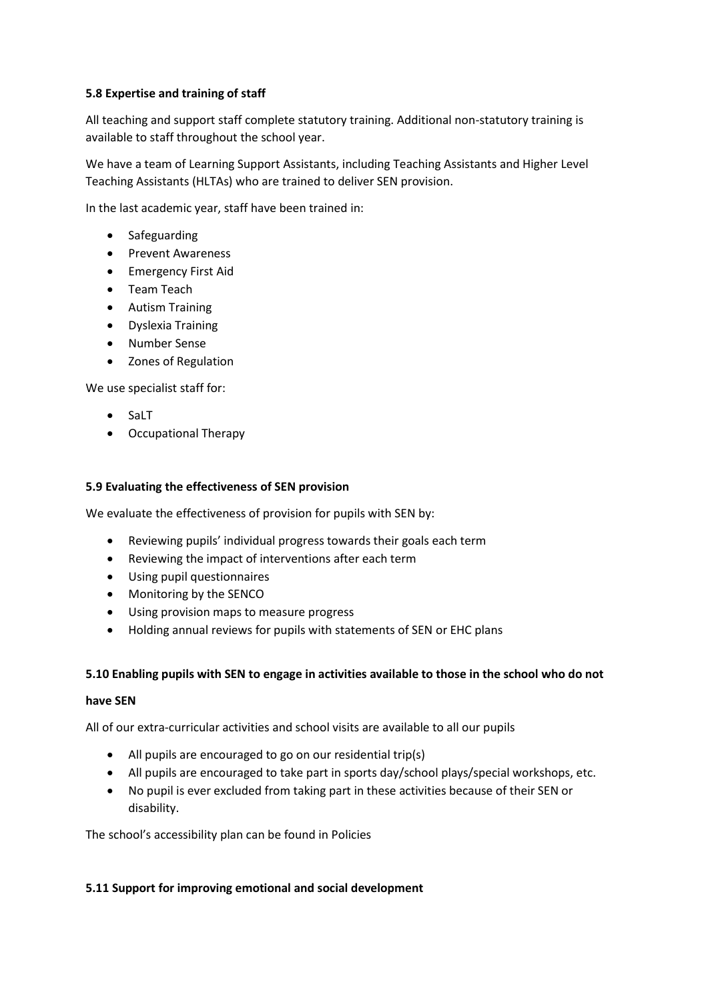# **5.8 Expertise and training of staff**

All teaching and support staff complete statutory training. Additional non-statutory training is available to staff throughout the school year.

We have a team of Learning Support Assistants, including Teaching Assistants and Higher Level Teaching Assistants (HLTAs) who are trained to deliver SEN provision.

In the last academic year, staff have been trained in:

- Safeguarding
- Prevent Awareness
- Emergency First Aid
- Team Teach
- Autism Training
- Dyslexia Training
- Number Sense
- Zones of Regulation

We use specialist staff for:

- SaLT
- Occupational Therapy

#### **5.9 Evaluating the effectiveness of SEN provision**

We evaluate the effectiveness of provision for pupils with SEN by:

- Reviewing pupils' individual progress towards their goals each term
- Reviewing the impact of interventions after each term
- Using pupil questionnaires
- Monitoring by the SENCO
- Using provision maps to measure progress
- Holding annual reviews for pupils with statements of SEN or EHC plans

#### **5.10 Enabling pupils with SEN to engage in activities available to those in the school who do not**

#### **have SEN**

All of our extra-curricular activities and school visits are available to all our pupils

- All pupils are encouraged to go on our residential trip(s)
- All pupils are encouraged to take part in sports day/school plays/special workshops, etc.
- No pupil is ever excluded from taking part in these activities because of their SEN or disability.

The school's accessibility plan can be found in Policies

#### **5.11 Support for improving emotional and social development**